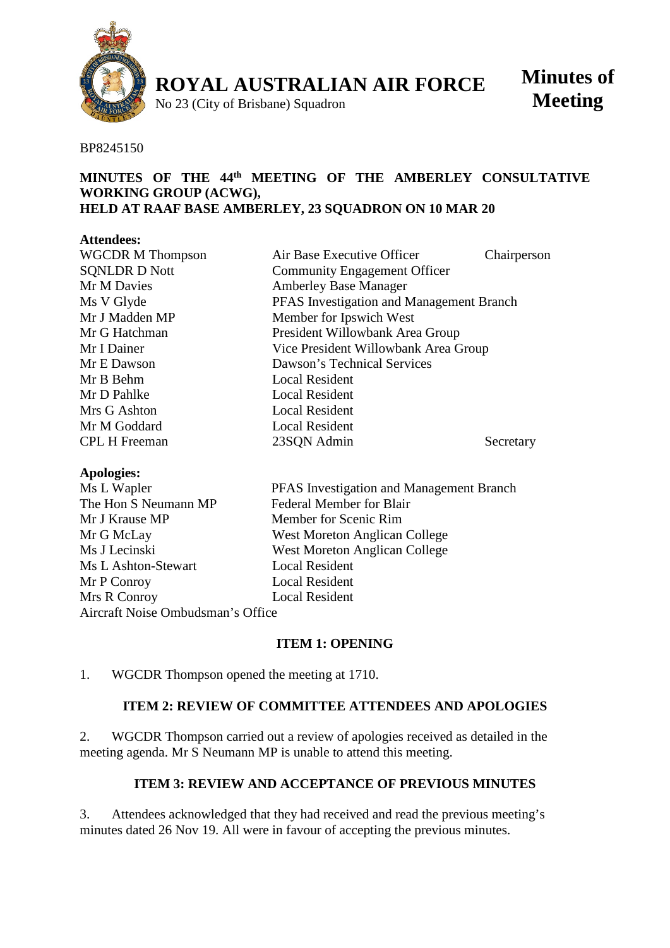

**ROYAL AUSTRALIAN AIR FORCE**

No 23 (City of Brisbane) Squadron

**Minutes of Meeting**

#### BP8245150

#### **MINUTES OF THE 44th MEETING OF THE AMBERLEY CONSULTATIVE WORKING GROUP (ACWG), HELD AT RAAF BASE AMBERLEY, 23 SQUADRON ON 10 MAR 20**

#### **Attendees:**

| <b>WGCDR M Thompson</b> | Air Base Executive Officer               | Chairperson |
|-------------------------|------------------------------------------|-------------|
| <b>SQNLDR D Nott</b>    | <b>Community Engagement Officer</b>      |             |
| Mr M Davies             | <b>Amberley Base Manager</b>             |             |
| Ms V Glyde              | PFAS Investigation and Management Branch |             |
| Mr J Madden MP          | Member for Ipswich West                  |             |
| Mr G Hatchman           | President Willowbank Area Group          |             |
| Mr I Dainer             | Vice President Willowbank Area Group     |             |
| Mr E Dawson             | Dawson's Technical Services              |             |
| Mr B Behm               | <b>Local Resident</b>                    |             |
| Mr D Pahlke             | <b>Local Resident</b>                    |             |
| Mrs G Ashton            | <b>Local Resident</b>                    |             |
| Mr M Goddard            | <b>Local Resident</b>                    |             |
| <b>CPL H Freeman</b>    | 23SQN Admin                              | Secretary   |
|                         |                                          |             |

#### **Apologies:**

| Ms L Wapler                       | PFAS Investigation and Management Branch |  |
|-----------------------------------|------------------------------------------|--|
| The Hon S Neumann MP              | <b>Federal Member for Blair</b>          |  |
| Mr J Krause MP                    | Member for Scenic Rim                    |  |
| Mr G McLay                        | West Moreton Anglican College            |  |
| Ms J Lecinski                     | <b>West Moreton Anglican College</b>     |  |
| Ms L Ashton-Stewart               | <b>Local Resident</b>                    |  |
| Mr P Conroy                       | <b>Local Resident</b>                    |  |
| Mrs R Conroy                      | <b>Local Resident</b>                    |  |
| Aircraft Noise Ombudsman's Office |                                          |  |

#### **ITEM 1: OPENING**

1. WGCDR Thompson opened the meeting at 1710.

## **ITEM 2: REVIEW OF COMMITTEE ATTENDEES AND APOLOGIES**

2. WGCDR Thompson carried out a review of apologies received as detailed in the meeting agenda. Mr S Neumann MP is unable to attend this meeting.

## **ITEM 3: REVIEW AND ACCEPTANCE OF PREVIOUS MINUTES**

3. Attendees acknowledged that they had received and read the previous meeting's minutes dated 26 Nov 19. All were in favour of accepting the previous minutes.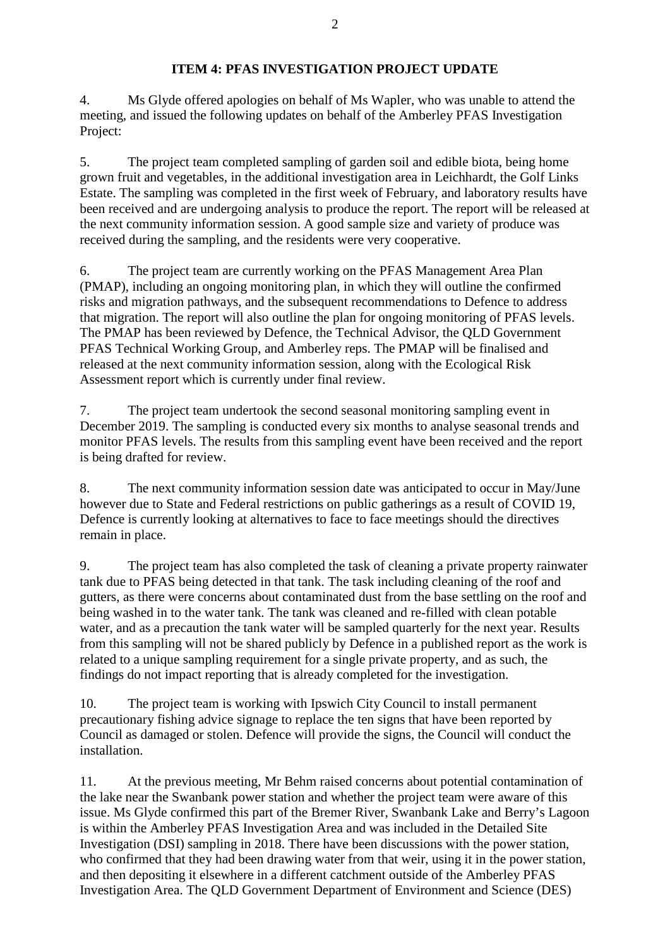## **ITEM 4: PFAS INVESTIGATION PROJECT UPDATE**

4. Ms Glyde offered apologies on behalf of Ms Wapler, who was unable to attend the meeting, and issued the following updates on behalf of the Amberley PFAS Investigation Project:

5. The project team completed sampling of garden soil and edible biota, being home grown fruit and vegetables, in the additional investigation area in Leichhardt, the Golf Links Estate. The sampling was completed in the first week of February, and laboratory results have been received and are undergoing analysis to produce the report. The report will be released at the next community information session. A good sample size and variety of produce was received during the sampling, and the residents were very cooperative.

6. The project team are currently working on the PFAS Management Area Plan (PMAP), including an ongoing monitoring plan, in which they will outline the confirmed risks and migration pathways, and the subsequent recommendations to Defence to address that migration. The report will also outline the plan for ongoing monitoring of PFAS levels. The PMAP has been reviewed by Defence, the Technical Advisor, the QLD Government PFAS Technical Working Group, and Amberley reps. The PMAP will be finalised and released at the next community information session, along with the Ecological Risk Assessment report which is currently under final review.

7. The project team undertook the second seasonal monitoring sampling event in December 2019. The sampling is conducted every six months to analyse seasonal trends and monitor PFAS levels. The results from this sampling event have been received and the report is being drafted for review.

8. The next community information session date was anticipated to occur in May/June however due to State and Federal restrictions on public gatherings as a result of COVID 19, Defence is currently looking at alternatives to face to face meetings should the directives remain in place.

9. The project team has also completed the task of cleaning a private property rainwater tank due to PFAS being detected in that tank. The task including cleaning of the roof and gutters, as there were concerns about contaminated dust from the base settling on the roof and being washed in to the water tank. The tank was cleaned and re-filled with clean potable water, and as a precaution the tank water will be sampled quarterly for the next year. Results from this sampling will not be shared publicly by Defence in a published report as the work is related to a unique sampling requirement for a single private property, and as such, the findings do not impact reporting that is already completed for the investigation.

10. The project team is working with Ipswich City Council to install permanent precautionary fishing advice signage to replace the ten signs that have been reported by Council as damaged or stolen. Defence will provide the signs, the Council will conduct the installation.

11. At the previous meeting, Mr Behm raised concerns about potential contamination of the lake near the Swanbank power station and whether the project team were aware of this issue. Ms Glyde confirmed this part of the Bremer River, Swanbank Lake and Berry's Lagoon is within the Amberley PFAS Investigation Area and was included in the Detailed Site Investigation (DSI) sampling in 2018. There have been discussions with the power station, who confirmed that they had been drawing water from that weir, using it in the power station, and then depositing it elsewhere in a different catchment outside of the Amberley PFAS Investigation Area. The QLD Government Department of Environment and Science (DES)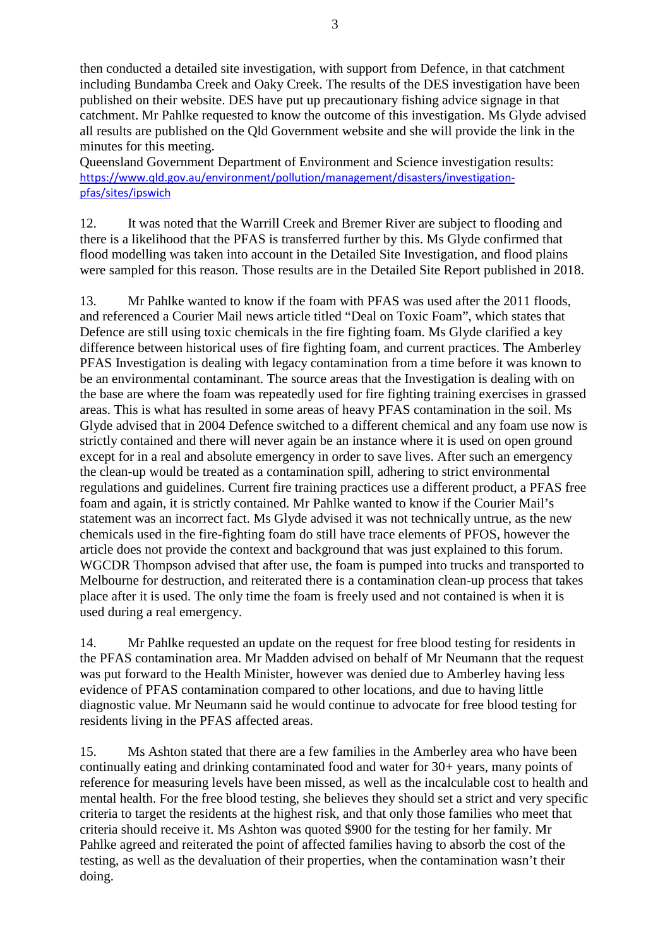then conducted a detailed site investigation, with support from Defence, in that catchment including Bundamba Creek and Oaky Creek. The results of the DES investigation have been published on their website. DES have put up precautionary fishing advice signage in that catchment. Mr Pahlke requested to know the outcome of this investigation. Ms Glyde advised all results are published on the Qld Government website and she will provide the link in the minutes for this meeting.

Queensland Government Department of Environment and Science investigation results: [https://www.qld.gov.au/environment/pollution/management/disasters/investigation](https://www.qld.gov.au/environment/pollution/management/disasters/investigation-pfas/sites/ipswich)[pfas/sites/ipswich](https://www.qld.gov.au/environment/pollution/management/disasters/investigation-pfas/sites/ipswich)

12. It was noted that the Warrill Creek and Bremer River are subject to flooding and there is a likelihood that the PFAS is transferred further by this. Ms Glyde confirmed that flood modelling was taken into account in the Detailed Site Investigation, and flood plains were sampled for this reason. Those results are in the Detailed Site Report published in 2018.

13. Mr Pahlke wanted to know if the foam with PFAS was used after the 2011 floods, and referenced a Courier Mail news article titled "Deal on Toxic Foam", which states that Defence are still using toxic chemicals in the fire fighting foam. Ms Glyde clarified a key difference between historical uses of fire fighting foam, and current practices. The Amberley PFAS Investigation is dealing with legacy contamination from a time before it was known to be an environmental contaminant. The source areas that the Investigation is dealing with on the base are where the foam was repeatedly used for fire fighting training exercises in grassed areas. This is what has resulted in some areas of heavy PFAS contamination in the soil. Ms Glyde advised that in 2004 Defence switched to a different chemical and any foam use now is strictly contained and there will never again be an instance where it is used on open ground except for in a real and absolute emergency in order to save lives. After such an emergency the clean-up would be treated as a contamination spill, adhering to strict environmental regulations and guidelines. Current fire training practices use a different product, a PFAS free foam and again, it is strictly contained. Mr Pahlke wanted to know if the Courier Mail's statement was an incorrect fact. Ms Glyde advised it was not technically untrue, as the new chemicals used in the fire-fighting foam do still have trace elements of PFOS, however the article does not provide the context and background that was just explained to this forum. WGCDR Thompson advised that after use, the foam is pumped into trucks and transported to Melbourne for destruction, and reiterated there is a contamination clean-up process that takes place after it is used. The only time the foam is freely used and not contained is when it is used during a real emergency.

14. Mr Pahlke requested an update on the request for free blood testing for residents in the PFAS contamination area. Mr Madden advised on behalf of Mr Neumann that the request was put forward to the Health Minister, however was denied due to Amberley having less evidence of PFAS contamination compared to other locations, and due to having little diagnostic value. Mr Neumann said he would continue to advocate for free blood testing for residents living in the PFAS affected areas.

15. Ms Ashton stated that there are a few families in the Amberley area who have been continually eating and drinking contaminated food and water for 30+ years, many points of reference for measuring levels have been missed, as well as the incalculable cost to health and mental health. For the free blood testing, she believes they should set a strict and very specific criteria to target the residents at the highest risk, and that only those families who meet that criteria should receive it. Ms Ashton was quoted \$900 for the testing for her family. Mr Pahlke agreed and reiterated the point of affected families having to absorb the cost of the testing, as well as the devaluation of their properties, when the contamination wasn't their doing.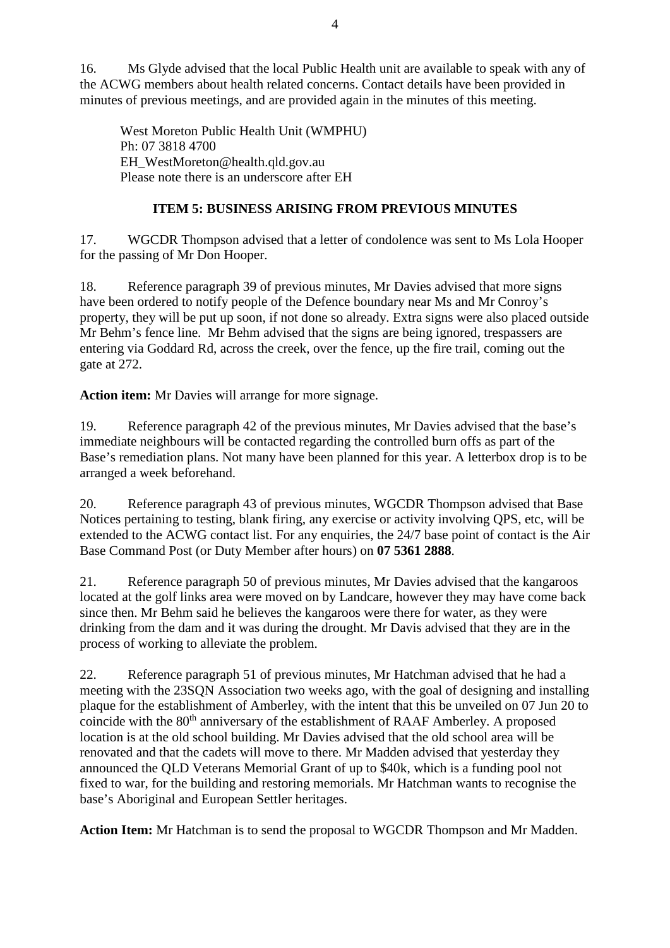16. Ms Glyde advised that the local Public Health unit are available to speak with any of the ACWG members about health related concerns. Contact details have been provided in minutes of previous meetings, and are provided again in the minutes of this meeting.

West Moreton Public Health Unit (WMPHU) Ph: 07 3818 4700 EH\_WestMoreton@health.qld.gov.au Please note there is an underscore after EH

# **ITEM 5: BUSINESS ARISING FROM PREVIOUS MINUTES**

17. WGCDR Thompson advised that a letter of condolence was sent to Ms Lola Hooper for the passing of Mr Don Hooper.

18. Reference paragraph 39 of previous minutes, Mr Davies advised that more signs have been ordered to notify people of the Defence boundary near Ms and Mr Conroy's property, they will be put up soon, if not done so already. Extra signs were also placed outside Mr Behm's fence line. Mr Behm advised that the signs are being ignored, trespassers are entering via Goddard Rd, across the creek, over the fence, up the fire trail, coming out the gate at 272.

**Action item:** Mr Davies will arrange for more signage.

19. Reference paragraph 42 of the previous minutes, Mr Davies advised that the base's immediate neighbours will be contacted regarding the controlled burn offs as part of the Base's remediation plans. Not many have been planned for this year. A letterbox drop is to be arranged a week beforehand.

20. Reference paragraph 43 of previous minutes, WGCDR Thompson advised that Base Notices pertaining to testing, blank firing, any exercise or activity involving QPS, etc, will be extended to the ACWG contact list. For any enquiries, the 24/7 base point of contact is the Air Base Command Post (or Duty Member after hours) on **07 5361 2888**.

21. Reference paragraph 50 of previous minutes, Mr Davies advised that the kangaroos located at the golf links area were moved on by Landcare, however they may have come back since then. Mr Behm said he believes the kangaroos were there for water, as they were drinking from the dam and it was during the drought. Mr Davis advised that they are in the process of working to alleviate the problem.

22. Reference paragraph 51 of previous minutes, Mr Hatchman advised that he had a meeting with the 23SQN Association two weeks ago, with the goal of designing and installing plaque for the establishment of Amberley, with the intent that this be unveiled on 07 Jun 20 to coincide with the 80<sup>th</sup> anniversary of the establishment of RAAF Amberley. A proposed location is at the old school building. Mr Davies advised that the old school area will be renovated and that the cadets will move to there. Mr Madden advised that yesterday they announced the QLD Veterans Memorial Grant of up to \$40k, which is a funding pool not fixed to war, for the building and restoring memorials. Mr Hatchman wants to recognise the base's Aboriginal and European Settler heritages.

**Action Item:** Mr Hatchman is to send the proposal to WGCDR Thompson and Mr Madden.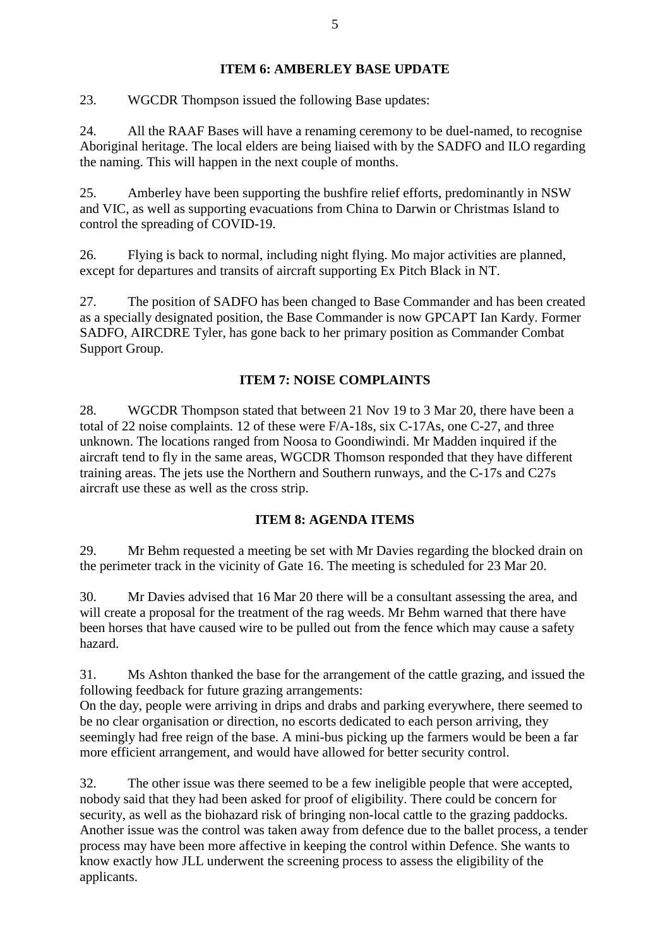# **ITEM 6: AMBERLEY BASE UPDATE**

23. WGCDR Thompson issued the following Base updates:

24. All the RAAF Bases will have a renaming ceremony to be duel-named, to recognise Aboriginal heritage. The local elders are being liaised with by the SADFO and ILO regarding the naming. This will happen in the next couple of months.

25. Amberley have been supporting the bushfire relief efforts, predominantly in NSW and VIC, as well as supporting evacuations from China to Darwin or Christmas Island to control the spreading of COVID-19.

26. Flying is back to normal, including night flying. Mo major activities are planned, except for departures and transits of aircraft supporting Ex Pitch Black in NT.

27. The position of SADFO has been changed to Base Commander and has been created as a specially designated position, the Base Commander is now GPCAPT Ian Kardy. Former SADFO, AIRCDRE Tyler, has gone back to her primary position as Commander Combat Support Group.

# **ITEM 7: NOISE COMPLAINTS**

28. WGCDR Thompson stated that between 21 Nov 19 to 3 Mar 20, there have been a total of 22 noise complaints. 12 of these were F/A-18s, six C-17As, one C-27, and three unknown. The locations ranged from Noosa to Goondiwindi. Mr Madden inquired if the aircraft tend to fly in the same areas, WGCDR Thomson responded that they have different training areas. The jets use the Northern and Southern runways, and the C-17s and C27s aircraft use these as well as the cross strip.

## **ITEM 8: AGENDA ITEMS**

29. Mr Behm requested a meeting be set with Mr Davies regarding the blocked drain on the perimeter track in the vicinity of Gate 16. The meeting is scheduled for 23 Mar 20.

30. Mr Davies advised that 16 Mar 20 there will be a consultant assessing the area, and will create a proposal for the treatment of the rag weeds. Mr Behm warned that there have been horses that have caused wire to be pulled out from the fence which may cause a safety hazard.

31. Ms Ashton thanked the base for the arrangement of the cattle grazing, and issued the following feedback for future grazing arrangements:

On the day, people were arriving in drips and drabs and parking everywhere, there seemed to be no clear organisation or direction, no escorts dedicated to each person arriving, they seemingly had free reign of the base. A mini-bus picking up the farmers would be been a far more efficient arrangement, and would have allowed for better security control.

32. The other issue was there seemed to be a few ineligible people that were accepted, nobody said that they had been asked for proof of eligibility. There could be concern for security, as well as the biohazard risk of bringing non-local cattle to the grazing paddocks. Another issue was the control was taken away from defence due to the ballet process, a tender process may have been more affective in keeping the control within Defence. She wants to know exactly how JLL underwent the screening process to assess the eligibility of the applicants.